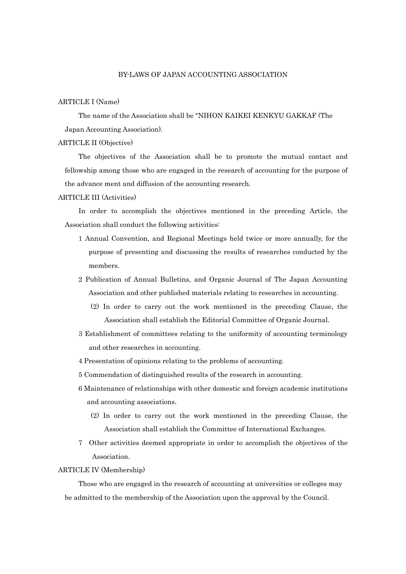# ARTICLE I (Name)

The name of the Association shall be "NIHON KAIKEI KENKYU GAKKAF (The Japan Accounting Association).

### ARTICLE II (Objective)

The objectives of the Association shall be to promote the mutual contact and fellowship among those who are engaged in the research of accounting for the purpose of the advance ment and diffusion of the accounting research.

#### ARTICLE III (Activities)

In order to accomplish the objectives mentioned in the preceding Article, the Association shall conduct the following activities:

- 1 Annual Convention, and Regional Meetings held twice or more annually, for the purpose of presenting and discussing the results of researches conducted by the members.
- 2 Publication of Annual Bulletins, and Organic Journal of The Japan Accounting Association and other published materials relating to researches in accounting.
	- (2) In order to carry out the work mentioned in the preceding Clause, the Association shall establish the Editorial Committee of Organic Journal.
- 3 Establishment of committees relating to the uniformity of accounting terminology and other researches in accounting.
- 4 Presentation of opinions relating to the problems of accounting.
- 5 Commendation of distinguished results of the research in accounting.
- 6 Maintenance of relationships with other domestic and foreign academic institutions and accounting associations.
	- (2) In order to carry out the work mentioned in the preceding Clause, the Association shall establish the Committee of International Exchanges.
- 7 Other activities deemed appropriate in order to accomplish the objectives of the Association.

#### ARTICLE IV (Membership)

Those who are engaged in the research of accounting at universities or colleges may be admitted to the membership of the Association upon the approval by the Council.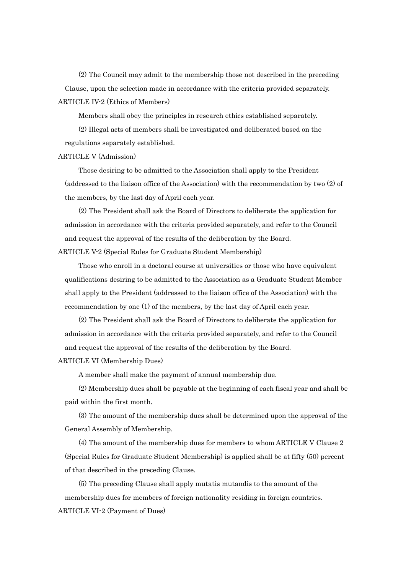(2) The Council may admit to the membership those not described in the preceding Clause, upon the selection made in accordance with the criteria provided separately. ARTICLE IV-2 (Ethics of Members)

Members shall obey the principles in research ethics established separately.

(2) Illegal acts of members shall be investigated and deliberated based on the regulations separately established.

#### ARTICLE V (Admission)

Those desiring to be admitted to the Association shall apply to the President (addressed to the liaison office of the Association) with the recommendation by two (2) of the members, by the last day of April each year.

(2) The President shall ask the Board of Directors to deliberate the application for admission in accordance with the criteria provided separately, and refer to the Council and request the approval of the results of the deliberation by the Board.

ARTICLE V-2 (Special Rules for Graduate Student Membership)

Those who enroll in a doctoral course at universities or those who have equivalent qualifications desiring to be admitted to the Association as a Graduate Student Member shall apply to the President (addressed to the liaison office of the Association) with the recommendation by one (1) of the members, by the last day of April each year.

(2) The President shall ask the Board of Directors to deliberate the application for admission in accordance with the criteria provided separately, and refer to the Council and request the approval of the results of the deliberation by the Board.

### ARTICLE VI (Membership Dues)

A member shall make the payment of annual membership due.

(2) Membership dues shall be payable at the beginning of each fiscal year and shall be paid within the first month.

(3) The amount of the membership dues shall be determined upon the approval of the General Assembly of Membership.

(4) The amount of the membership dues for members to whom ARTICLE V Clause 2 (Special Rules for Graduate Student Membership) is applied shall be at fifty (50) percent of that described in the preceding Clause.

(5) The preceding Clause shall apply mutatis mutandis to the amount of the membership dues for members of foreign nationality residing in foreign countries. ARTICLE VI-2 (Payment of Dues)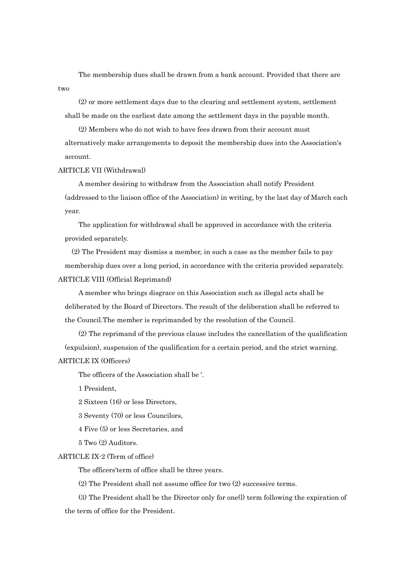The membership dues shall be drawn from a bank account. Provided that there are two

(2) or more settlement days due to the clearing and settlement system, settlement shall be made on the earliest date among the settlement days in the payable month.

(2) Members who do not wish to have fees drawn from their account must alternatively make arrangements to deposit the membership dues into the Association's account.

### ARTICLE VII (Withdrawal)

A member desiring to withdraw from the Association shall notify President (addressed to the liaison office of the Association) in writing, by the last day of March each year.

The application for withdrawal shall be approved in accordance with the criteria provided separately.

(2) The President may dismiss a member, in such a case as the member fails to pay membership dues over a long period, in accordance with the criteria provided separately. ARTICLE VIII (Official Reprimand)

A member who brings disgrace on this Association such as illegal acts shall be deliberated by the Board of Directors. The result of the deliberation shall be referred to the Council.The member is reprimanded by the resolution of the Council.

(2) The reprimand of the previous clause includes the cancellation of the qualification (expulsion), suspension of the qualification for a certain period, and the strict warning. ARTICLE IX (Officers)

The officers of the Association shall be '.

1 President,

2 Sixteen (16) or less Directors,

3 Seventy (70) or less Councilors,

4 Five (5) or less Secretaries, and

5 Two (2) Auditors.

#### ARTICLE IX-2 (Term of office)

The officers'term of office shall be three years.

(2) The President shall not assume office for two (2) successive terms.

(3) The President shall be the Director only for one(l) term following the expiration of the term of office for the President.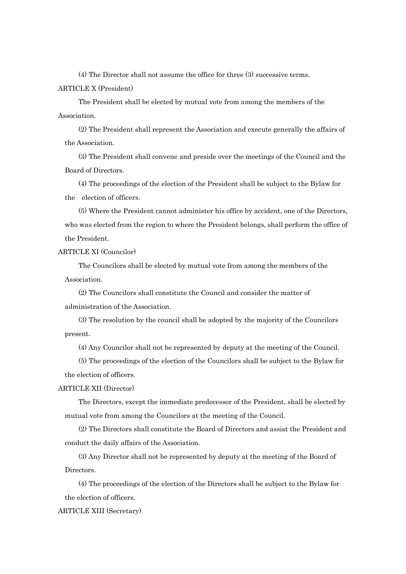(4) The Director shall not assume the office for three (3) successive terms.

### ARTICLE X (President)

The President shall be elected by mutual vote from among the members of the Association.

(2) The President shall represent the Association and execute generally the affairs of the Association.

(3) The President shall convene and preside over the meetings of the Council and the Board of Directors.

(4) The proceedings of the election of the President shall be subject to the Bylaw for the election of officers.

(5) Where the President cannot administer his office by accident, one of the Directors, who was elected from the region to where the President belongs, shall perform the office of the President.

ARTICLE XI (Councilor)

The Councilors shall be elected by mutual vote from among the members of the Association.

(2) The Councilors shall constitute the Council and consider the matter of administration of the Association.

(3) The resolution by the council shall be adopted by the majority of the Councilors present.

(4) Any Councilor shall not be represented by deputy at the meeting of the Council.

(5) The proceedings of the election of the Councilors shall be subject to the Bylaw for the election of officers.

# ARTICLE XII (Director)

The Directors, except the immediate predecessor of the President, shall be elected by mutual vote from among the Councilors at the meeting of the Council.

(2) The Directors shall constitute the Board of Directors and assist the President and conduct the daily affairs of the Association.

(3) Any Director shall not be represented by deputy at the meeting of the Board of Directors.

(4) The proceedings of the election of the Directors shall be subject to the Bylaw for the election of officers.

# ARTICLE XIII (Secretary)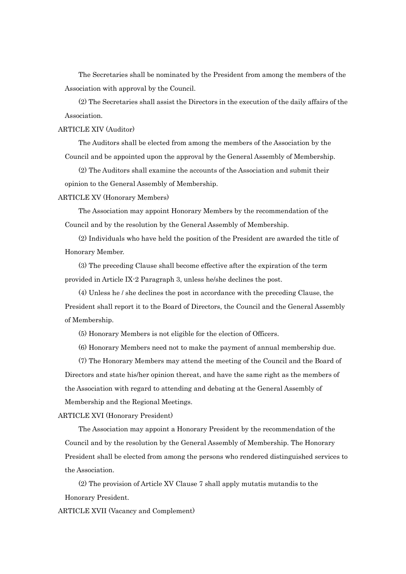The Secretaries shall be nominated by the President from among the members of the Association with approval by the Council.

(2) The Secretaries shall assist the Directors in the execution of the daily affairs of the Association.

ARTICLE XIV (Auditor)

The Auditors shall be elected from among the members of the Association by the Council and be appointed upon the approval by the General Assembly of Membership.

(2) The Auditors shall examine the accounts of the Association and submit their opinion to the General Assembly of Membership.

ARTICLE XV (Honorary Members)

The Association may appoint Honorary Members by the recommendation of the Council and by the resolution by the General Assembly of Membership.

(2) Individuals who have held the position of the President are awarded the title of Honorary Member.

(3) The preceding Clause shall become effective after the expiration of the term provided in Article IX-2 Paragraph 3, unless he/she declines the post.

(4) Unless he / she declines the post in accordance with the preceding Clause, the President shall report it to the Board of Directors, the Council and the General Assembly of Membership.

(5) Honorary Members is not eligible for the election of Officers.

(6) Honorary Members need not to make the payment of annual membership due.

(7) The Honorary Members may attend the meeting of the Council and the Board of Directors and state his/her opinion thereat, and have the same right as the members of the Association with regard to attending and debating at the General Assembly of Membership and the Regional Meetings.

ARTICLE XVI (Honorary President)

The Association may appoint a Honorary President by the recommendation of the Council and by the resolution by the General Assembly of Membership. The Honorary President shall be elected from among the persons who rendered distinguished services to the Association.

(2) The provision of Article XV Clause 7 shall apply mutatis mutandis to the Honorary President.

ARTICLE XVII (Vacancy and Complement)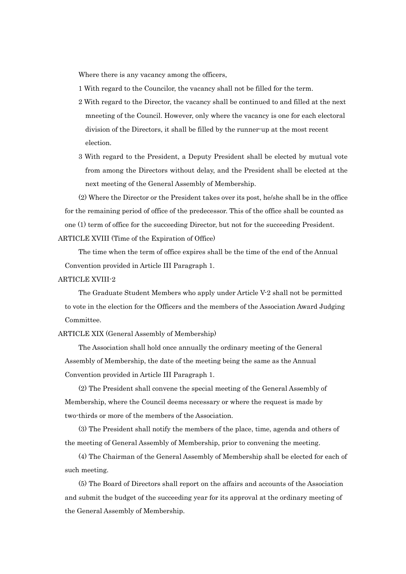Where there is any vacancy among the officers,

- 1 With regard to the Councilor, the vacancy shall not be filled for the term.
- 2 With regard to the Director, the vacancy shall be continued to and filled at the next mneeting of the Council. However, only where the vacancy is one for each electoral division of the Directors, it shall be filled by the runner-up at the most recent election.
- 3 With regard to the President, a Deputy President shall be elected by mutual vote from among the Directors without delay, and the President shall be elected at the next meeting of the General Assembly of Membership.

(2) Where the Director or the President takes over its post, he/she shall be in the office for the remaining period of office of the predecessor. This of the office shall be counted as one (1) term of office for the succeeding Director, but not for the succeeding President.

## ARTICLE XVIII (Time of the Expiration of Office)

The time when the term of office expires shall be the time of the end of the Annual Convention provided in Article III Paragraph 1.

## ARTICLE XVIII-2

The Graduate Student Members who apply under Article V-2 shall not be permitted to vote in the election for the Officers and the members of the Association Award Judging Committee.

ARTICLE XIX (General Assembly of Membership)

The Association shall hold once annually the ordinary meeting of the General Assembly of Membership, the date of the meeting being the same as the Annual Convention provided in Article III Paragraph 1.

(2) The President shall convene the special meeting of the General Assembly of Membership, where the Council deems necessary or where the request is made by two-thirds or more of the members of the Association.

(3) The President shall notify the members of the place, time, agenda and others of the meeting of General Assembly of Membership, prior to convening the meeting.

(4) The Chairman of the General Assembly of Membership shall be elected for each of such meeting.

(5) The Board of Directors shall report on the affairs and accounts of the Association and submit the budget of the succeeding year for its approval at the ordinary meeting of the General Assembly of Membership.